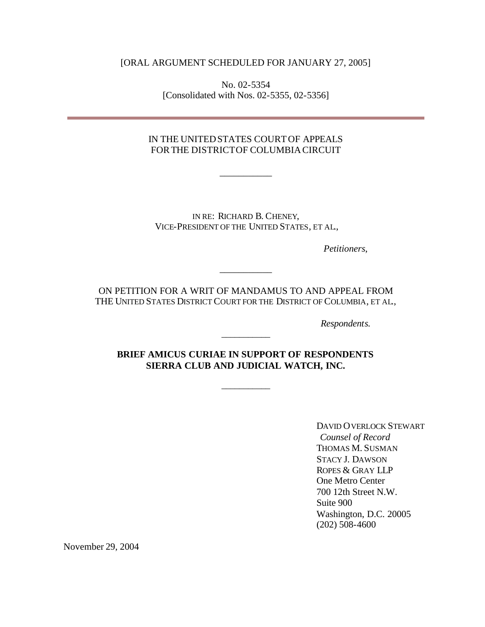[ORAL ARGUMENT SCHEDULED FOR JANUARY 27, 2005]

No. 02-5354 [Consolidated with Nos. 02-5355, 02-5356]

## IN THE UNITEDSTATES COURTOF APPEALS FORTHE DISTRICTOF COLUMBIACIRCUIT

\_\_\_\_\_\_\_\_\_\_\_

IN RE: RICHARD B. CHENEY, VICE-PRESIDENT OF THE UNITED STATES, ET AL.,

*Petitioners*,

ON PETITION FOR A WRIT OF MANDAMUS TO AND APPEAL FROM THE UNITED STATES DISTRICT COURT FOR THE DISTRICT OF COLUMBIA, ET AL.,

\_\_\_\_\_\_\_\_\_\_\_

*Respondents.*

**BRIEF AMICUS CURIAE IN SUPPORT OF RESPONDENTS SIERRA CLUB AND JUDICIAL WATCH, INC.**

\_\_\_\_\_\_\_\_\_\_\_

\_\_\_\_\_\_\_\_\_\_\_

DAVID OVERLOCK STEWART *Counsel of Record* THOMAS M. SUSMAN STACY J. DAWSON ROPES & GRAY LLP One Metro Center 700 12th Street N.W. Suite 900 Washington, D.C. 20005 (202) 508-4600

November 29, 2004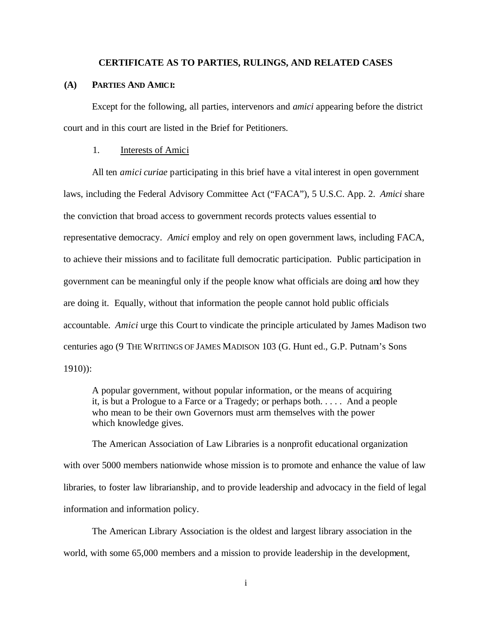#### **CERTIFICATE AS TO PARTIES, RULINGS, AND RELATED CASES**

#### **(A) PARTIES AND AMICI:**

Except for the following, all parties, intervenors and *amici* appearing before the district court and in this court are listed in the Brief for Petitioners.

### 1. Interests of Amici

All ten *amici curiae* participating in this brief have a vital interest in open government laws, including the Federal Advisory Committee Act ("FACA"), 5 U.S.C. App. 2. *Amici* share the conviction that broad access to government records protects values essential to representative democracy. *Amici* employ and rely on open government laws, including FACA, to achieve their missions and to facilitate full democratic participation. Public participation in government can be meaningful only if the people know what officials are doing and how they are doing it. Equally, without that information the people cannot hold public officials accountable. *Amici* urge this Court to vindicate the principle articulated by James Madison two centuries ago (9 THE WRITINGS OF JAMES MADISON 103 (G. Hunt ed., G.P. Putnam's Sons 1910)):

A popular government, without popular information, or the means of acquiring it, is but a Prologue to a Farce or a Tragedy; or perhaps both. . . . . And a people who mean to be their own Governors must arm themselves with the power which knowledge gives.

The American Association of Law Libraries is a nonprofit educational organization with over 5000 members nationwide whose mission is to promote and enhance the value of law libraries, to foster law librarianship, and to provide leadership and advocacy in the field of legal information and information policy.

The American Library Association is the oldest and largest library association in the world, with some 65,000 members and a mission to provide leadership in the development,

i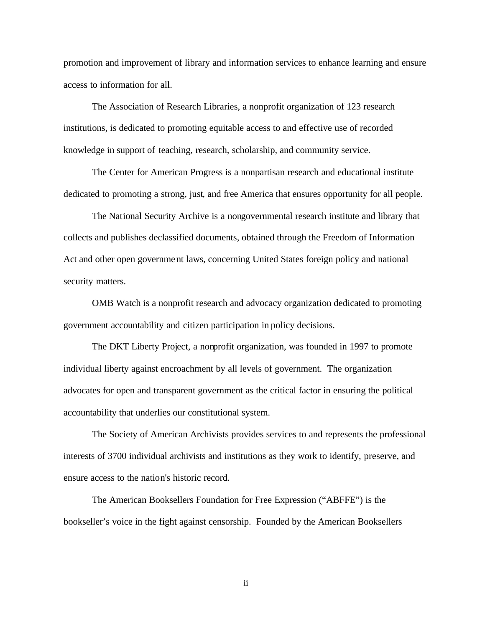promotion and improvement of library and information services to enhance learning and ensure access to information for all.

The Association of Research Libraries, a nonprofit organization of 123 research institutions, is dedicated to promoting equitable access to and effective use of recorded knowledge in support of teaching, research, scholarship, and community service.

The Center for American Progress is a nonpartisan research and educational institute dedicated to promoting a strong, just, and free America that ensures opportunity for all people.

The National Security Archive is a nongovernmental research institute and library that collects and publishes declassified documents, obtained through the Freedom of Information Act and other open government laws, concerning United States foreign policy and national security matters.

OMB Watch is a nonprofit research and advocacy organization dedicated to promoting government accountability and citizen participation in policy decisions.

The DKT Liberty Project, a nonprofit organization, was founded in 1997 to promote individual liberty against encroachment by all levels of government. The organization advocates for open and transparent government as the critical factor in ensuring the political accountability that underlies our constitutional system.

The Society of American Archivists provides services to and represents the professional interests of 3700 individual archivists and institutions as they work to identify, preserve, and ensure access to the nation's historic record.

The American Booksellers Foundation for Free Expression ("ABFFE") is the bookseller's voice in the fight against censorship. Founded by the American Booksellers

ii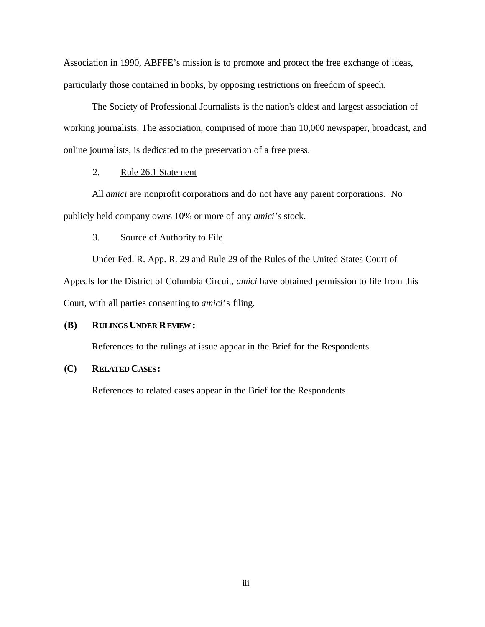Association in 1990, ABFFE's mission is to promote and protect the free exchange of ideas, particularly those contained in books, by opposing restrictions on freedom of speech.

The Society of Professional Journalists is the nation's oldest and largest association of working journalists. The association, comprised of more than 10,000 newspaper, broadcast, and online journalists, is dedicated to the preservation of a free press.

### 2. Rule 26.1 Statement

All *amici* are nonprofit corporations and do not have any parent corporations. No publicly held company owns 10% or more of any *amici's* stock.

#### 3. Source of Authority to File

Under Fed. R. App. R. 29 and Rule 29 of the Rules of the United States Court of Appeals for the District of Columbia Circuit, *amici* have obtained permission to file from this Court, with all parties consenting to *amici*'s filing.

#### **(B) RULINGS UNDER REVIEW:**

References to the rulings at issue appear in the Brief for the Respondents.

#### **(C) RELATED CASES:**

References to related cases appear in the Brief for the Respondents.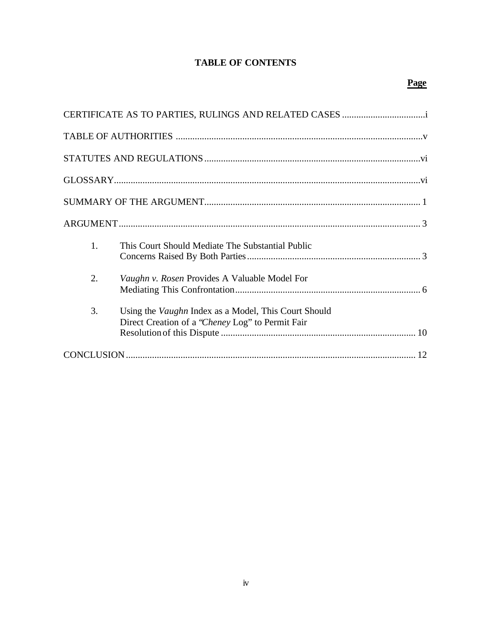# **TABLE OF CONTENTS**

| 1. | This Court Should Mediate The Substantial Public                                                                |
|----|-----------------------------------------------------------------------------------------------------------------|
| 2. | Vaughn v. Rosen Provides A Valuable Model For                                                                   |
| 3. | Using the <i>Vaughn</i> Index as a Model, This Court Should<br>Direct Creation of a "Cheney Log" to Permit Fair |
|    |                                                                                                                 |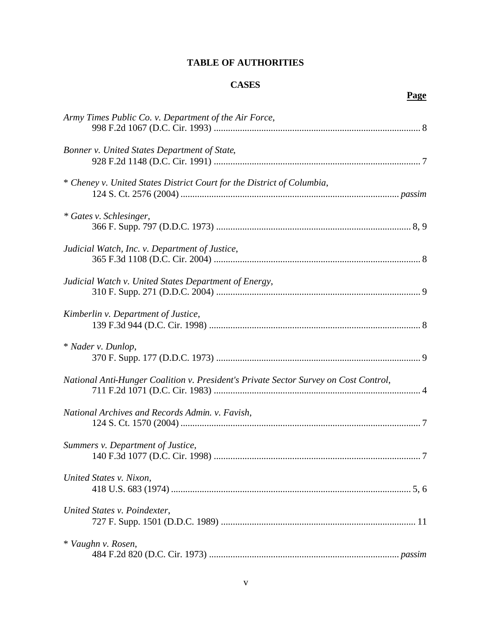# **TABLE OF AUTHORITIES**

# **CASES**

# **Page**

| Army Times Public Co. v. Department of the Air Force,                                |
|--------------------------------------------------------------------------------------|
| Bonner v. United States Department of State,                                         |
| * Cheney v. United States District Court for the District of Columbia,               |
| * Gates v. Schlesinger,                                                              |
| Judicial Watch, Inc. v. Department of Justice,                                       |
| Judicial Watch v. United States Department of Energy,                                |
| Kimberlin v. Department of Justice,                                                  |
| * Nader v. Dunlop,                                                                   |
| National Anti-Hunger Coalition v. President's Private Sector Survey on Cost Control, |
| National Archives and Records Admin. v. Favish,                                      |
| Summers v. Department of Justice,                                                    |
| United States v. Nixon,                                                              |
| United States v. Poindexter,                                                         |
| * Vaughn v. Rosen,                                                                   |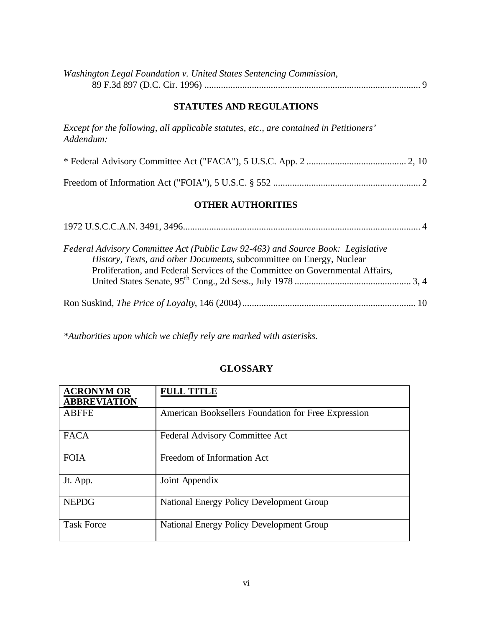| Washington Legal Foundation v. United States Sentencing Commission, |  |
|---------------------------------------------------------------------|--|
|                                                                     |  |

## **STATUTES AND REGULATIONS**

*Except for the following, all applicable statutes, etc., are contained in Petitioners' Addendum:*

## **OTHER AUTHORITIES**

| Federal Advisory Committee Act (Public Law 92-463) and Source Book: Legislative |  |
|---------------------------------------------------------------------------------|--|
| History, Texts, and other Documents, subcommittee on Energy, Nuclear            |  |
| Proliferation, and Federal Services of the Committee on Governmental Affairs,   |  |
|                                                                                 |  |

*\*Authorities upon which we chiefly rely are marked with asterisks.*

## **GLOSSARY**

| <b>ACRONYM OR</b><br><b>ABBREVIATION</b> | <b>FULL TITLE</b>                                   |
|------------------------------------------|-----------------------------------------------------|
| <b>ABFFE</b>                             | American Booksellers Foundation for Free Expression |
| <b>FACA</b>                              | Federal Advisory Committee Act                      |
| <b>FOIA</b>                              | Freedom of Information Act                          |
| Jt. App.                                 | Joint Appendix                                      |
| <b>NEPDG</b>                             | <b>National Energy Policy Development Group</b>     |
| <b>Task Force</b>                        | <b>National Energy Policy Development Group</b>     |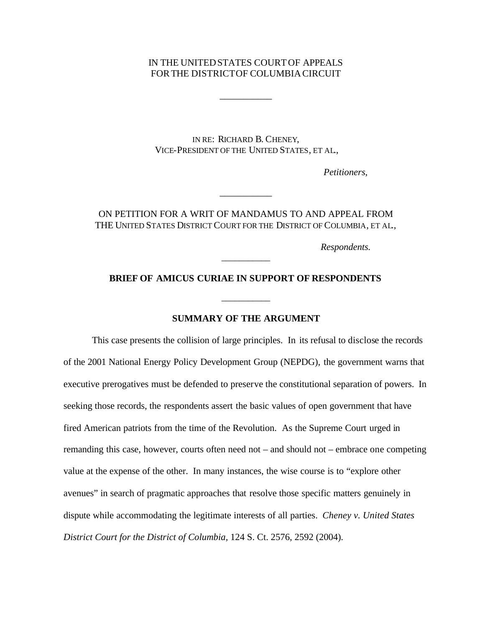### IN THE UNITEDSTATES COURTOF APPEALS FORTHE DISTRICTOF COLUMBIACIRCUIT

\_\_\_\_\_\_\_\_\_\_\_

IN RE: RICHARD B. CHENEY, VICE-PRESIDENT OF THE UNITED STATES, ET AL.,

*Petitioners*,

## ON PETITION FOR A WRIT OF MANDAMUS TO AND APPEAL FROM THE UNITED STATES DISTRICT COURT FOR THE DISTRICT OF COLUMBIA, ET AL.,

\_\_\_\_\_\_\_\_\_\_\_

*Respondents.*

### **BRIEF OF AMICUS CURIAE IN SUPPORT OF RESPONDENTS**

\_\_\_\_\_\_\_\_\_\_\_

\_\_\_\_\_\_\_\_\_\_\_

### **SUMMARY OF THE ARGUMENT**

This case presents the collision of large principles. In its refusal to disclose the records of the 2001 National Energy Policy Development Group (NEPDG), the government warns that executive prerogatives must be defended to preserve the constitutional separation of powers. In seeking those records, the respondents assert the basic values of open government that have fired American patriots from the time of the Revolution. As the Supreme Court urged in remanding this case, however, courts often need not – and should not – embrace one competing value at the expense of the other. In many instances, the wise course is to "explore other avenues" in search of pragmatic approaches that resolve those specific matters genuinely in dispute while accommodating the legitimate interests of all parties. *Cheney v. United States District Court for the District of Columbia,* 124 S. Ct. 2576, 2592 (2004).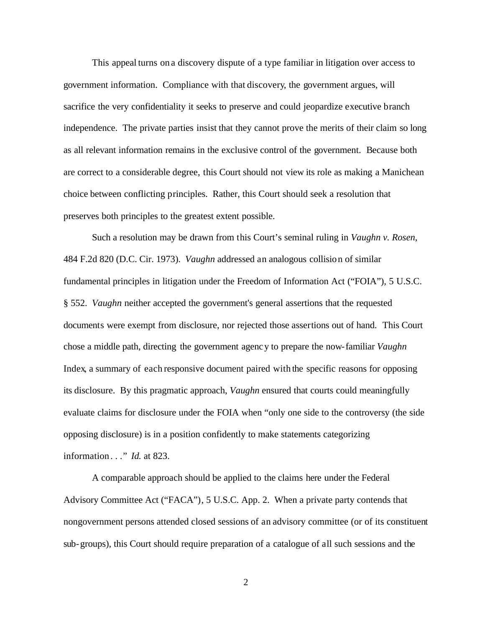This appeal turns on a discovery dispute of a type familiar in litigation over access to government information. Compliance with that discovery, the government argues, will sacrifice the very confidentiality it seeks to preserve and could jeopardize executive branch independence. The private parties insist that they cannot prove the merits of their claim so long as all relevant information remains in the exclusive control of the government. Because both are correct to a considerable degree, this Court should not view its role as making a Manichean choice between conflicting principles. Rather, this Court should seek a resolution that preserves both principles to the greatest extent possible.

Such a resolution may be drawn from this Court's seminal ruling in *Vaughn v. Rosen*, 484 F.2d 820 (D.C. Cir. 1973). *Vaughn* addressed an analogous collision of similar fundamental principles in litigation under the Freedom of Information Act ("FOIA"), 5 U.S.C. § 552. *Vaughn* neither accepted the government's general assertions that the requested documents were exempt from disclosure, nor rejected those assertions out of hand. This Court chose a middle path, directing the government agency to prepare the now-familiar *Vaughn* Index, a summary of each responsive document paired with the specific reasons for opposing its disclosure. By this pragmatic approach, *Vaughn* ensured that courts could meaningfully evaluate claims for disclosure under the FOIA when "only one side to the controversy (the side opposing disclosure) is in a position confidently to make statements categorizing information . . ." *Id.* at 823.

A comparable approach should be applied to the claims here under the Federal Advisory Committee Act ("FACA"), 5 U.S.C. App. 2. When a private party contends that nongovernment persons attended closed sessions of an advisory committee (or of its constituent sub-groups), this Court should require preparation of a catalogue of all such sessions and the

2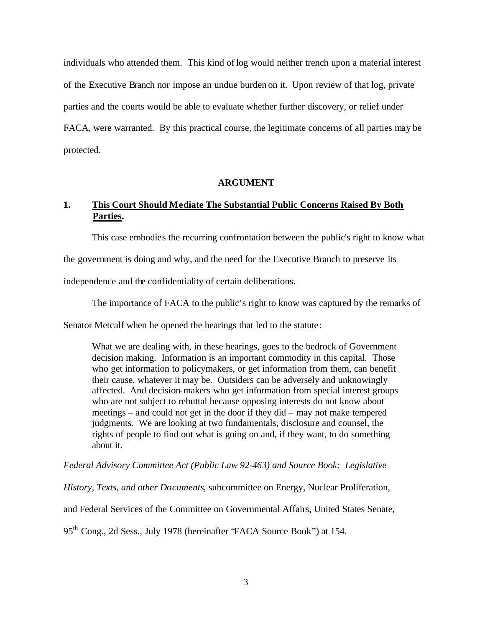individuals who attended them. This kind of log would neither trench upon a material interest of the Executive Branch nor impose an undue burden on it. Upon review of that log, private parties and the courts would be able to evaluate whether further discovery, or relief under FACA, were warranted. By this practical course, the legitimate concerns of all parties may be protected.

#### **ARGUMENT**

# **1. This Court Should Mediate The Substantial Public Concerns Raised By Both Parties.**

This case embodies the recurring confrontation between the public's right to know what

the government is doing and why, and the need for the Executive Branch to preserve its

independence and the confidentiality of certain deliberations.

The importance of FACA to the public's right to know was captured by the remarks of

Senator Metcalf when he opened the hearings that led to the statute:

What we are dealing with, in these hearings, goes to the bedrock of Government decision making. Information is an important commodity in this capital. Those who get information to policymakers, or get information from them, can benefit their cause, whatever it may be. Outsiders can be adversely and unknowingly affected. And decision-makers who get information from special interest groups who are not subject to rebuttal because opposing interests do not know about meetings – and could not get in the door if they did – may not make tempered judgments. We are looking at two fundamentals, disclosure and counsel, the rights of people to find out what is going on and, if they want, to do something about it.

*Federal Advisory Committee Act (Public Law 92-463) and Source Book: Legislative* 

*History, Texts, and other Documents*, subcommittee on Energy, Nuclear Proliferation,

and Federal Services of the Committee on Governmental Affairs, United States Senate,

95<sup>th</sup> Cong., 2d Sess., July 1978 (hereinafter 'FACA Source Book'') at 154.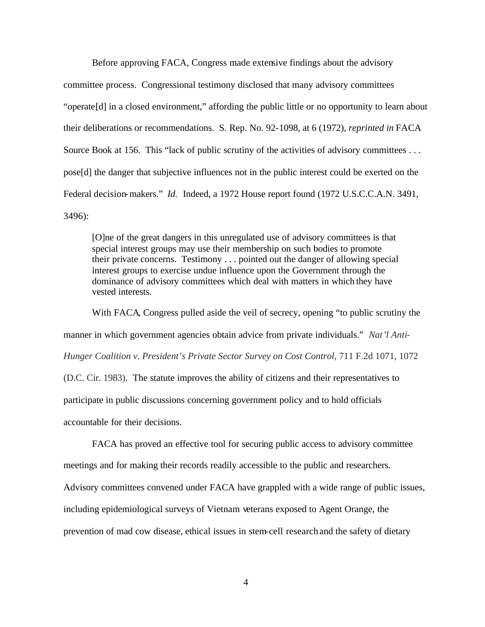Before approving FACA, Congress made extensive findings about the advisory committee process. Congressional testimony disclosed that many advisory committees "operate[d] in a closed environment," affording the public little or no opportunity to learn about their deliberations or recommendations. S. Rep. No. 92-1098, at 6 (1972), *reprinted in* FACA Source Book at 156. This "lack of public scrutiny of the activities of advisory committees ... pose[d] the danger that subjective influences not in the public interest could be exerted on the Federal decision-makers." *Id.* Indeed, a 1972 House report found (1972 U.S.C.C.A.N. 3491, 3496):

[O]ne of the great dangers in this unregulated use of advisory committees is that special interest groups may use their membership on such bodies to promote their private concerns. Testimony . . . pointed out the danger of allowing special interest groups to exercise undue influence upon the Government through the dominance of advisory committees which deal with matters in which they have vested interests.

With FACA, Congress pulled aside the veil of secrecy, opening "to public scrutiny the manner in which government agencies obtain advice from private individuals." *Nat'l Anti-Hunger Coalition v. President's Private Sector Survey on Cost Control*, 711 F.2d 1071, 1072 (D.C. Cir. 1983). The statute improves the ability of citizens and their representatives to participate in public discussions concerning government policy and to hold officials accountable for their decisions.

FACA has proved an effective tool for securing public access to advisory committee meetings and for making their records readily accessible to the public and researchers. Advisory committees convened under FACA have grappled with a wide range of public issues, including epidemiological surveys of Vietnam veterans exposed to Agent Orange, the prevention of mad cow disease, ethical issues in stem-cell research and the safety of dietary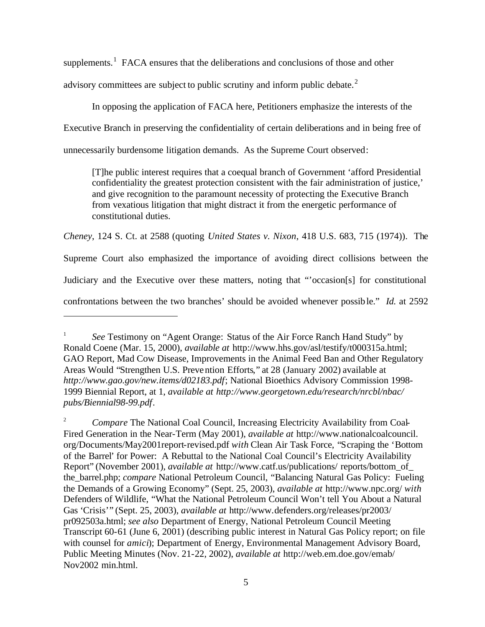supplements.<sup>1</sup> FACA ensures that the deliberations and conclusions of those and other

advisory committees are subject to public scrutiny and inform public debate. $2$ 

In opposing the application of FACA here, Petitioners emphasize the interests of the

Executive Branch in preserving the confidentiality of certain deliberations and in being free of

unnecessarily burdensome litigation demands. As the Supreme Court observed:

[T]he public interest requires that a coequal branch of Government 'afford Presidential confidentiality the greatest protection consistent with the fair administration of justice,' and give recognition to the paramount necessity of protecting the Executive Branch from vexatious litigation that might distract it from the energetic performance of constitutional duties.

*Cheney*, 124 S. Ct. at 2588 (quoting *United States v. Nixon*, 418 U.S. 683, 715 (1974)). The

Supreme Court also emphasized the importance of avoiding direct collisions between the

Judiciary and the Executive over these matters, noting that "'occasion[s] for constitutional

confrontations between the two branches' should be avoided whenever possible." *Id.* at 2592

<sup>1</sup> *See* Testimony on "Agent Orange: Status of the Air Force Ranch Hand Study" by Ronald Coene (Mar. 15, 2000), *available at* http://www.hhs.gov/asl/testify/t000315a.html; GAO Report, Mad Cow Disease, Improvements in the Animal Feed Ban and Other Regulatory Areas Would "Strengthen U.S. Prevention Efforts," at 28 (January 2002) available at *http:/*/*www.gao.gov/new.items/d02183.pdf*; National Bioethics Advisory Commission 1998- 1999 Biennial Report, at 1, *available at http://www.georgetown.edu/research/nrcbl/nbac/ pubs/Biennial98-99.pdf*.

<sup>&</sup>lt;sup>2</sup> *Compare* The National Coal Council, Increasing Electricity Availability from Coal-Fired Generation in the Near-Term (May 2001), *available at* http://www.nationalcoalcouncil. org/Documents/May2001report-revised.pdf *with* Clean Air Task Force, "Scraping the 'Bottom of the Barrel' for Power: A Rebuttal to the National Coal Council's Electricity Availability Report" (November 2001), *available at* http://www.catf.us/publications/ reports/bottom\_of\_ the\_barrel.php; *compare* National Petroleum Council, "Balancing Natural Gas Policy: Fueling the Demands of a Growing Economy" (Sept. 25, 2003), *available at* http://www.npc.org/ *with* Defenders of Wildlife, "What the National Petroleum Council Won't tell You About a Natural Gas 'Crisis'" (Sept. 25, 2003), *available at* http://www.defenders.org/releases/pr2003/ pr092503a.html; *see also* Department of Energy, National Petroleum Council Meeting Transcript 60-61 (June 6, 2001) (describing public interest in Natural Gas Policy report; on file with counsel for *amici*); Department of Energy, Environmental Management Advisory Board, Public Meeting Minutes (Nov. 21-22, 2002), *available at* http://web.em.doe.gov/emab/ Nov2002 min.html.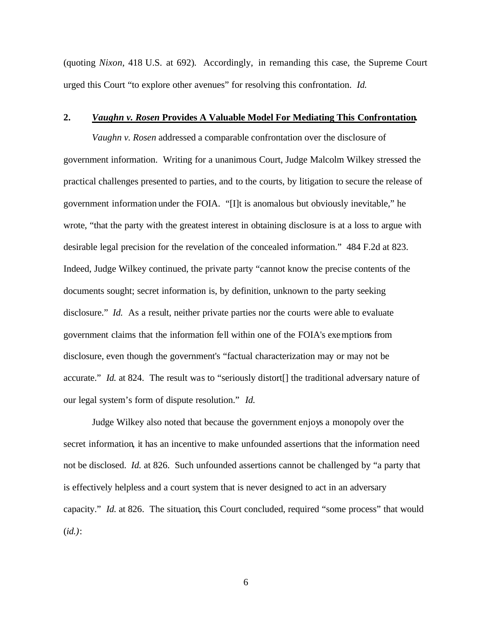(quoting *Nixon*, 418 U.S. at 692). Accordingly, in remanding this case, the Supreme Court urged this Court "to explore other avenues" for resolving this confrontation. *Id.*

#### **2.** *Vaughn v. Rosen* **Provides A Valuable Model For Mediating This Confrontation.**

*Vaughn v. Rosen* addressed a comparable confrontation over the disclosure of government information. Writing for a unanimous Court, Judge Malcolm Wilkey stressed the practical challenges presented to parties, and to the courts, by litigation to secure the release of government information under the FOIA. "[I]t is anomalous but obviously inevitable," he wrote, "that the party with the greatest interest in obtaining disclosure is at a loss to argue with desirable legal precision for the revelation of the concealed information." 484 F.2d at 823. Indeed, Judge Wilkey continued, the private party "cannot know the precise contents of the documents sought; secret information is, by definition, unknown to the party seeking disclosure." *Id.* As a result, neither private parties nor the courts were able to evaluate government claims that the information fell within one of the FOIA's exemptions from disclosure, even though the government's "factual characterization may or may not be accurate." *Id.* at 824. The result was to "seriously distort<sup>[]</sup> the traditional adversary nature of our legal system's form of dispute resolution." *Id.*

Judge Wilkey also noted that because the government enjoys a monopoly over the secret information, it has an incentive to make unfounded assertions that the information need not be disclosed. *Id.* at 826. Such unfounded assertions cannot be challenged by "a party that is effectively helpless and a court system that is never designed to act in an adversary capacity." *Id.* at 826. The situation, this Court concluded, required "some process" that would (*id.)*:

6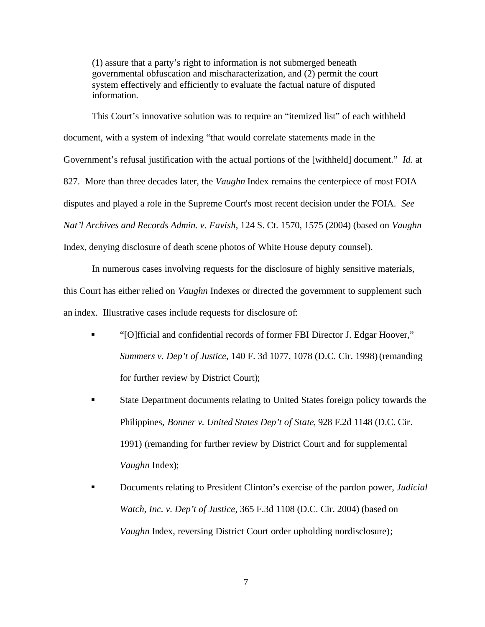(1) assure that a party's right to information is not submerged beneath governmental obfuscation and mischaracterization, and (2) permit the court system effectively and efficiently to evaluate the factual nature of disputed information.

This Court's innovative solution was to require an "itemized list" of each withheld document, with a system of indexing "that would correlate statements made in the Government's refusal justification with the actual portions of the [withheld] document." *Id.* at 827. More than three decades later, the *Vaughn* Index remains the centerpiece of most FOIA disputes and played a role in the Supreme Court's most recent decision under the FOIA. *See Nat'l Archives and Records Admin. v. Favish*, 124 S. Ct. 1570, 1575 (2004) (based on *Vaughn* Index, denying disclosure of death scene photos of White House deputy counsel).

In numerous cases involving requests for the disclosure of highly sensitive materials, this Court has either relied on *Vaughn* Indexes or directed the government to supplement such an index. Illustrative cases include requests for disclosure of:

- ß "[O]fficial and confidential records of former FBI Director J. Edgar Hoover," *Summers v. Dep't of Justice*, 140 F. 3d 1077, 1078 (D.C. Cir. 1998) (remanding for further review by District Court);
- **State Department documents relating to United States foreign policy towards the** Philippines, *Bonner v. United States Dep't of State*, 928 F.2d 1148 (D.C. Cir. 1991) (remanding for further review by District Court and for supplemental *Vaughn* Index);
- ß Documents relating to President Clinton's exercise of the pardon power, *Judicial Watch, Inc. v. Dep't of Justice*, 365 F.3d 1108 (D.C. Cir. 2004) (based on *Vaughn* Index, reversing District Court order upholding nondisclosure);

7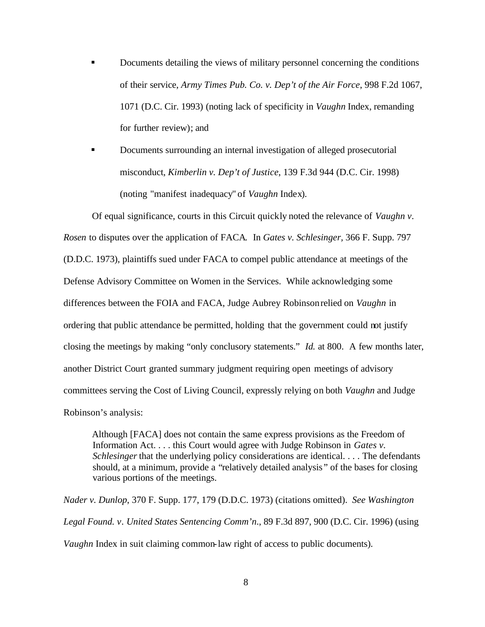- ß Documents detailing the views of military personnel concerning the conditions of their service, *Army Times Pub. Co. v. Dep't of the Air Force*, 998 F.2d 1067, 1071 (D.C. Cir. 1993) (noting lack of specificity in *Vaughn* Index, remanding for further review); and
- ß Documents surrounding an internal investigation of alleged prosecutorial misconduct, *Kimberlin v. Dep't of Justice*, 139 F.3d 944 (D.C. Cir. 1998) (noting "manifest inadequacy" of *Vaughn* Index).

Of equal significance, courts in this Circuit quickly noted the relevance of *Vaughn v. Rosen* to disputes over the application of FACA*.* In *Gates v. Schlesinger,* 366 F. Supp. 797 (D.D.C. 1973), plaintiffs sued under FACA to compel public attendance at meetings of the Defense Advisory Committee on Women in the Services. While acknowledging some differences between the FOIA and FACA, Judge Aubrey Robinson relied on *Vaughn* in ordering that public attendance be permitted, holding that the government could not justify closing the meetings by making "only conclusory statements." *Id.* at 800. A few months later, another District Court granted summary judgment requiring open meetings of advisory committees serving the Cost of Living Council, expressly relying on both *Vaughn* and Judge Robinson's analysis:

Although [FACA] does not contain the same express provisions as the Freedom of Information Act. . . . this Court would agree with Judge Robinson in *Gates v. Schlesinger* that the underlying policy considerations are identical. . . . The defendants should, at a minimum, provide a "relatively detailed analysis " of the bases for closing various portions of the meetings.

*Nader v. Dunlop*, 370 F. Supp. 177, 179 (D.D.C. 1973) (citations omitted). *See Washington Legal Found. v. United States Sentencing Comm'n*., 89 F.3d 897, 900 (D.C. Cir. 1996) (using *Vaughn* Index in suit claiming common-law right of access to public documents).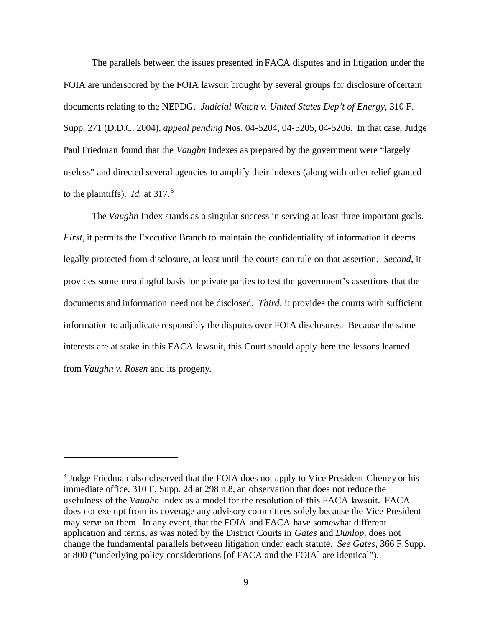The parallels between the issues presented in FACA disputes and in litigation under the FOIA are underscored by the FOIA lawsuit brought by several groups for disclosure of certain documents relating to the NEPDG. *Judicial Watch v. United States Dep't of Energy*, 310 F. Supp. 271 (D.D.C. 2004), *appeal pending* Nos. 04-5204, 04-5205, 04-5206. In that case, Judge Paul Friedman found that the *Vaughn* Indexes as prepared by the government were "largely useless" and directed several agencies to amplify their indexes (along with other relief granted to the plaintiffs). *Id.* at  $317<sup>3</sup>$ 

The *Vaughn* Index stands as a singular success in serving at least three important goals. *First*, it permits the Executive Branch to maintain the confidentiality of information it deems legally protected from disclosure, at least until the courts can rule on that assertion. *Second*, it provides some meaningful basis for private parties to test the government's assertions that the documents and information need not be disclosed. *Third,* it provides the courts with sufficient information to adjudicate responsibly the disputes over FOIA disclosures. Because the same interests are at stake in this FACA lawsuit, this Court should apply here the lessons learned from *Vaughn v. Rosen* and its progeny.

<sup>&</sup>lt;sup>3</sup> Judge Friedman also observed that the FOIA does not apply to Vice President Cheney or his immediate office, 310 F. Supp. 2d at 298 n.8, an observation that does not reduce the usefulness of the *Vaughn* Index as a model for the resolution of this FACA lawsuit. FACA does not exempt from its coverage any advisory committees solely because the Vice President may serve on them. In any event, that the FOIA and FACA have somewhat different application and terms, as was noted by the District Courts in *Gates* and *Dunlop*, does not change the fundamental parallels between litigation under each statute. *See Gates,* 366 F.Supp. at 800 ("underlying policy considerations [of FACA and the FOIA] are identical").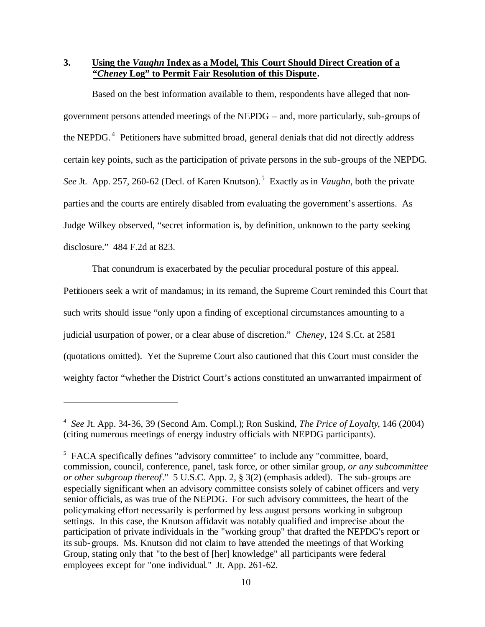**3. Using the** *Vaughn* **Index as a Model, This Court Should Direct Creation of a "***Cheney* **Log" to Permit Fair Resolution of this Dispute.**

Based on the best information available to them, respondents have alleged that nongovernment persons attended meetings of the NEPDG – and, more particularly, sub-groups of the NEPDG.<sup>4</sup> Petitioners have submitted broad, general denials that did not directly address certain key points, such as the participation of private persons in the sub-groups of the NEPDG. See Jt. App. 257, 260-62 (Decl. of Karen Knutson).<sup>5</sup> Exactly as in *Vaughn*, both the private parties and the courts are entirely disabled from evaluating the government's assertions. As Judge Wilkey observed, "secret information is, by definition, unknown to the party seeking disclosure." 484 F.2d at 823.

That conundrum is exacerbated by the peculiar procedural posture of this appeal. Petitioners seek a writ of mandamus; in its remand, the Supreme Court reminded this Court that such writs should issue "only upon a finding of exceptional circumstances amounting to a judicial usurpation of power, or a clear abuse of discretion." *Cheney*, 124 S.Ct. at 2581 (quotations omitted). Yet the Supreme Court also cautioned that this Court must consider the weighty factor "whether the District Court's actions constituted an unwarranted impairment of

<sup>4</sup> *See* Jt. App. 34-36, 39 (Second Am. Compl.); Ron Suskind, *The Price of Loyalty*, 146 (2004) (citing numerous meetings of energy industry officials with NEPDG participants).

<sup>&</sup>lt;sup>5</sup> FACA specifically defines "advisory committee" to include any "committee, board, commission, council, conference, panel, task force, or other similar group, *or any subcommittee or other subgroup thereof*." 5 U.S.C. App. 2, § 3(2) (emphasis added). The sub-groups are especially significant when an advisory committee consists solely of cabinet officers and very senior officials, as was true of the NEPDG. For such advisory committees, the heart of the policymaking effort necessarily is performed by less august persons working in subgroup settings. In this case, the Knutson affidavit was notably qualified and imprecise about the participation of private individuals in the "working group" that drafted the NEPDG's report or its sub-groups. Ms. Knutson did not claim to have attended the meetings of that Working Group, stating only that "to the best of [her] knowledge" all participants were federal employees except for "one individual." Jt. App. 261-62.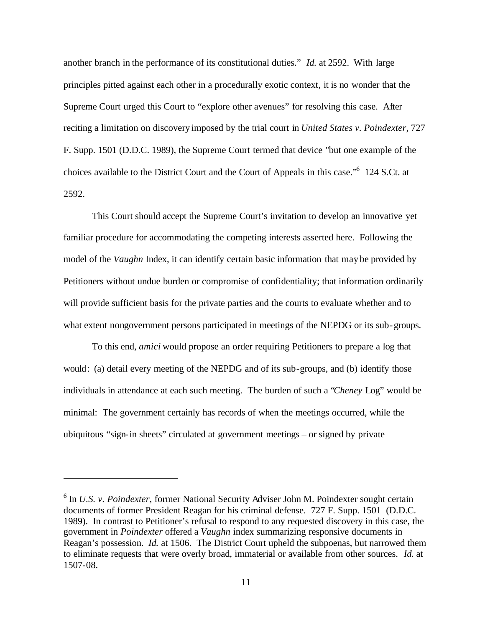another branch in the performance of its constitutional duties." *Id.* at 2592. With large principles pitted against each other in a procedurally exotic context, it is no wonder that the Supreme Court urged this Court to "explore other avenues" for resolving this case. After reciting a limitation on discovery imposed by the trial court in *United States v. Poindexter*, 727 F. Supp. 1501 (D.D.C. 1989), the Supreme Court termed that device "but one example of the choices available to the District Court and the Court of Appeals in this case."<sup>6</sup> 124 S.Ct. at 2592.

This Court should accept the Supreme Court's invitation to develop an innovative yet familiar procedure for accommodating the competing interests asserted here. Following the model of the *Vaughn* Index, it can identify certain basic information that may be provided by Petitioners without undue burden or compromise of confidentiality; that information ordinarily will provide sufficient basis for the private parties and the courts to evaluate whether and to what extent nongovernment persons participated in meetings of the NEPDG or its sub-groups.

To this end, *amici* would propose an order requiring Petitioners to prepare a log that would: (a) detail every meeting of the NEPDG and of its sub-groups, and (b) identify those individuals in attendance at each such meeting. The burden of such a "*Cheney* Log" would be minimal: The government certainly has records of when the meetings occurred, while the ubiquitous "sign-in sheets" circulated at government meetings – or signed by private

<sup>&</sup>lt;sup>6</sup> In *U.S. v. Poindexter*, former National Security Adviser John M. Poindexter sought certain documents of former President Reagan for his criminal defense. 727 F. Supp. 1501 (D.D.C. 1989). In contrast to Petitioner's refusal to respond to any requested discovery in this case, the government in *Poindexter* offered a *Vaughn* index summarizing responsive documents in Reagan's possession. *Id.* at 1506. The District Court upheld the subpoenas, but narrowed them to eliminate requests that were overly broad, immaterial or available from other sources. *Id.* at 1507-08.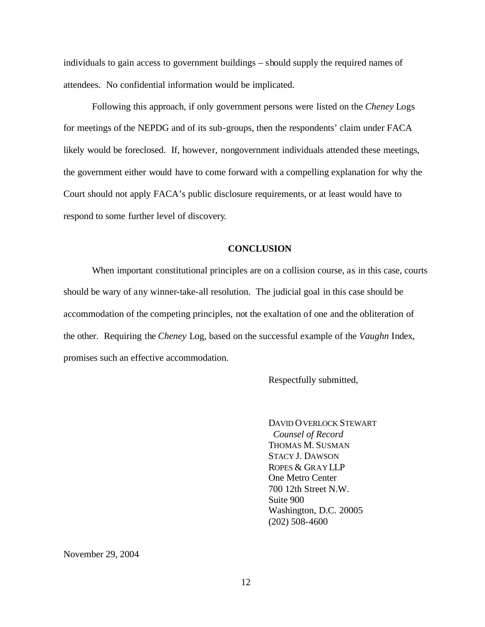individuals to gain access to government buildings – should supply the required names of attendees. No confidential information would be implicated.

Following this approach, if only government persons were listed on the *Cheney* Logs for meetings of the NEPDG and of its sub-groups, then the respondents' claim under FACA likely would be foreclosed. If, however, nongovernment individuals attended these meetings, the government either would have to come forward with a compelling explanation for why the Court should not apply FACA's public disclosure requirements, or at least would have to respond to some further level of discovery.

### **CONCLUSION**

When important constitutional principles are on a collision course, as in this case, courts should be wary of any winner-take-all resolution. The judicial goal in this case should be accommodation of the competing principles, not the exaltation of one and the obliteration of the other. Requiring the *Cheney* Log, based on the successful example of the *Vaughn* Index, promises such an effective accommodation.

Respectfully submitted,

DAVID OVERLOCK STEWART *Counsel of Record* THOMAS M. SUSMAN STACY J. DAWSON ROPES & GRAYLLP One Metro Center 700 12th Street N.W. Suite 900 Washington, D.C. 20005 (202) 508-4600

November 29, 2004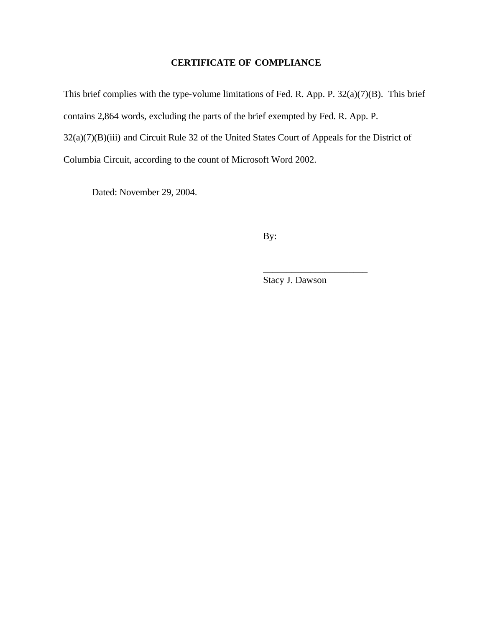# **CERTIFICATE OF COMPLIANCE**

This brief complies with the type-volume limitations of Fed. R. App. P. 32(a)(7)(B). This brief contains 2,864 words, excluding the parts of the brief exempted by Fed. R. App. P. 32(a)(7)(B)(iii) and Circuit Rule 32 of the United States Court of Appeals for the District of Columbia Circuit, according to the count of Microsoft Word 2002.

Dated: November 29, 2004.

By:

Stacy J. Dawson

\_\_\_\_\_\_\_\_\_\_\_\_\_\_\_\_\_\_\_\_\_\_